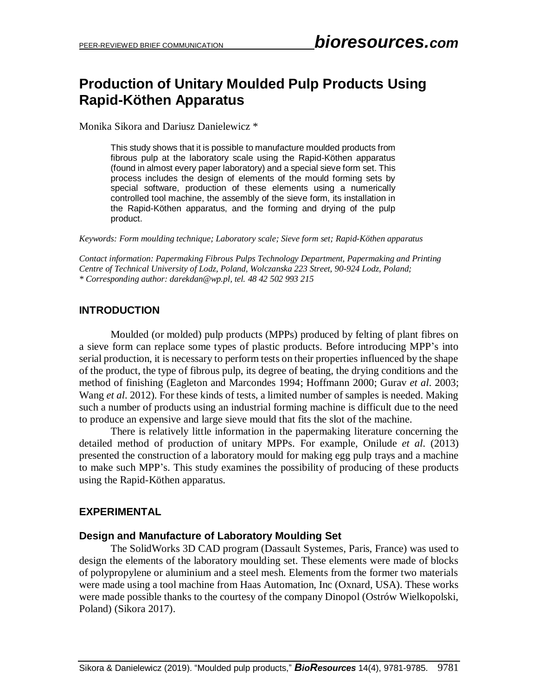# **Production of Unitary Moulded Pulp Products Using Rapid-Köthen Apparatus**

Monika Sikora and Dariusz Danielewicz \*

This study shows that it is possible to manufacture moulded products from fibrous pulp at the laboratory scale using the Rapid-Köthen apparatus (found in almost every paper laboratory) and a special sieve form set. This process includes the design of elements of the mould forming sets by special software, production of these elements using a numerically controlled tool machine, the assembly of the sieve form, its installation in the Rapid-Köthen apparatus, and the forming and drying of the pulp product.

*Keywords: Form moulding technique; Laboratory scale; Sieve form set; Rapid-Köthen apparatus*

*Contact information: Papermaking Fibrous Pulps Technology Department, Papermaking and Printing Centre of Technical University of Lodz, Poland, Wolczanska 223 Street, 90-924 Lodz, Poland; \* Corresponding author: darekdan@wp.pl, tel. 48 42 502 993 215*

#### **INTRODUCTION**

Moulded (or molded) pulp products (MPPs) produced by felting of plant fibres on a sieve form can replace some types of plastic products. Before introducing MPP's into serial production, it is necessary to perform tests on their properties influenced by the shape of the product, the type of fibrous pulp, its degree of beating, the drying conditions and the method of finishing (Eagleton and Marcondes 1994; Hoffmann 2000; Gurav *et al*. 2003; Wang *et al*. 2012). For these kinds of tests, a limited number of samples is needed. Making such a number of products using an industrial forming machine is difficult due to the need to produce an expensive and large sieve mould that fits the slot of the machine.

There is relatively little information in the papermaking literature concerning the detailed method of production of unitary MPPs. For example, Onilude *et al*. (2013) presented the construction of a laboratory mould for making egg pulp trays and a machine to make such MPP's. This study examines the possibility of producing of these products using the Rapid-Köthen apparatus.

#### **EXPERIMENTAL**

#### **Design and Manufacture of Laboratory Moulding Set**

The SolidWorks 3D CAD program (Dassault Systemes, Paris, France) was used to design the elements of the laboratory moulding set. These elements were made of blocks of polypropylene or aluminium and a steel mesh. Elements from the former two materials were made using a tool machine from Haas Automation, Inc (Oxnard, USA). These works were made possible thanks to the courtesy of the company Dinopol (Ostrów Wielkopolski, Poland) (Sikora 2017).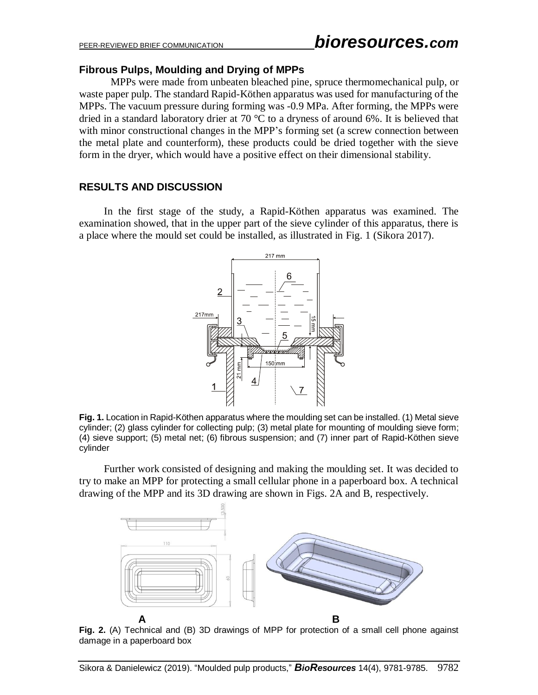#### **Fibrous Pulps, Moulding and Drying of MPPs**

MPPs were made from unbeaten bleached pine, spruce thermomechanical pulp, or waste paper pulp. The standard Rapid-Köthen apparatus was used for manufacturing of the MPPs. The vacuum pressure during forming was -0.9 MPa. After forming, the MPPs were dried in a standard laboratory drier at 70 °C to a dryness of around 6%. It is believed that with minor constructional changes in the MPP's forming set (a screw connection between the metal plate and counterform), these products could be dried together with the sieve form in the dryer, which would have a positive effect on their dimensional stability.

### **RESULTS AND DISCUSSION**

In the first stage of the study, a Rapid-Köthen apparatus was examined. The examination showed, that in the upper part of the sieve cylinder of this apparatus, there is a place where the mould set could be installed, as illustrated in Fig. 1 (Sikora 2017).



**Fig. 1.** Location in Rapid-Köthen apparatus where the moulding set can be installed. (1) Metal sieve cylinder; (2) glass cylinder for collecting pulp; (3) metal plate for mounting of moulding sieve form; (4) sieve support; (5) metal net; (6) fibrous suspension; and (7) inner part of Rapid-Köthen sieve cylinder

Further work consisted of designing and making the moulding set. It was decided to try to make an MPP for protecting a small cellular phone in a paperboard box. A technical drawing of the MPP and its 3D drawing are shown in Figs. 2A and B, respectively.



**Fig. 2.** (A) Technical and (B) 3D drawings of MPP for protection of a small cell phone against damage in a paperboard box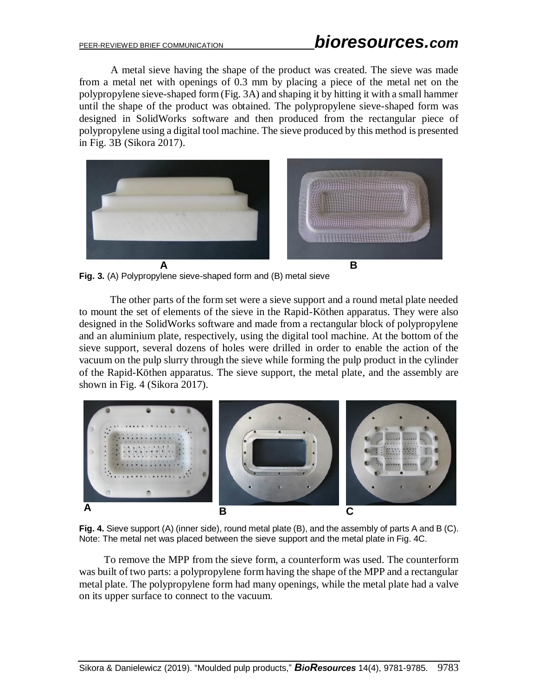A metal sieve having the shape of the product was created. The sieve was made from a metal net with openings of 0.3 mm by placing a piece of the metal net on the polypropylene sieve-shaped form (Fig. 3A) and shaping it by hitting it with a small hammer until the shape of the product was obtained. The polypropylene sieve-shaped form was designed in SolidWorks software and then produced from the rectangular piece of polypropylene using a digital tool machine. The sieve produced by this method is presented in Fig. 3B (Sikora 2017).



**Fig. 3.** (A) Polypropylene sieve-shaped form and (B) metal sieve

The other parts of the form set were a sieve support and a round metal plate needed to mount the set of elements of the sieve in the Rapid-Köthen apparatus. They were also designed in the SolidWorks software and made from a rectangular block of polypropylene and an aluminium plate, respectively, using the digital tool machine. At the bottom of the sieve support, several dozens of holes were drilled in order to enable the action of the vacuum on the pulp slurry through the sieve while forming the pulp product in the cylinder of the Rapid-Köthen apparatus. The sieve support, the metal plate, and the assembly are shown in Fig. 4 (Sikora 2017).



**Fig. 4.** Sieve support (A) (inner side), round metal plate (B), and the assembly of parts A and B (C). Note: The metal net was placed between the sieve support and the metal plate in Fig. 4C.

To remove the MPP from the sieve form, a counterform was used. The counterform was built of two parts: a polypropylene form having the shape of the MPP and a rectangular metal plate. The polypropylene form had many openings, while the metal plate had a valve on its upper surface to connect to the vacuum.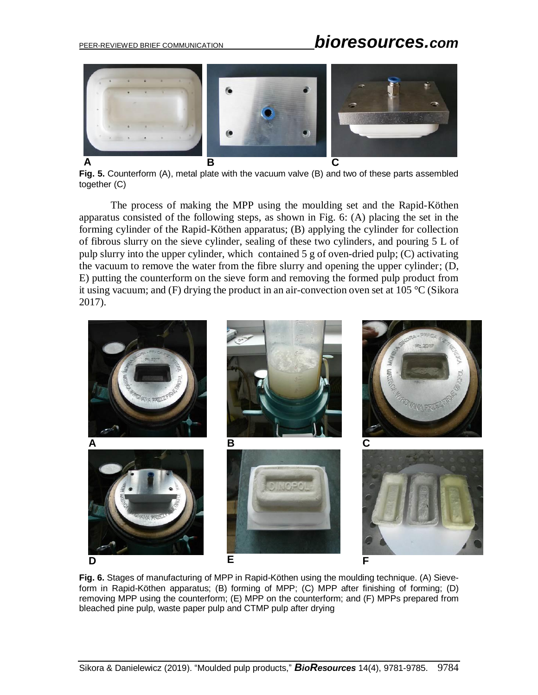# PEER-REVIEWED BRIEF COMMUNICATION *bioresources.com*



**Fig. 5.** Counterform (A), metal plate with the vacuum valve (B) and two of these parts assembled together (C)

The process of making the MPP using the moulding set and the Rapid-Köthen apparatus consisted of the following steps, as shown in Fig. 6: (A) placing the set in the forming cylinder of the Rapid-Köthen apparatus; (B) applying the cylinder for collection of fibrous slurry on the sieve cylinder, sealing of these two cylinders, and pouring 5 L of pulp slurry into the upper cylinder, which contained 5 g of oven-dried pulp; (C) activating the vacuum to remove the water from the fibre slurry and opening the upper cylinder; (D, E) putting the counterform on the sieve form and removing the formed pulp product from it using vacuum; and (F) drying the product in an air-convection oven set at 105 °C (Sikora 2017).



**Fig. 6.** Stages of manufacturing of MPP in Rapid-Köthen using the moulding technique. (A) Sieveform in Rapid-Köthen apparatus; (B) forming of MPP; (C) MPP after finishing of forming; (D) removing MPP using the counterform; (E) MPP on the counterform; and (F) MPPs prepared from bleached pine pulp, waste paper pulp and CTMP pulp after drying